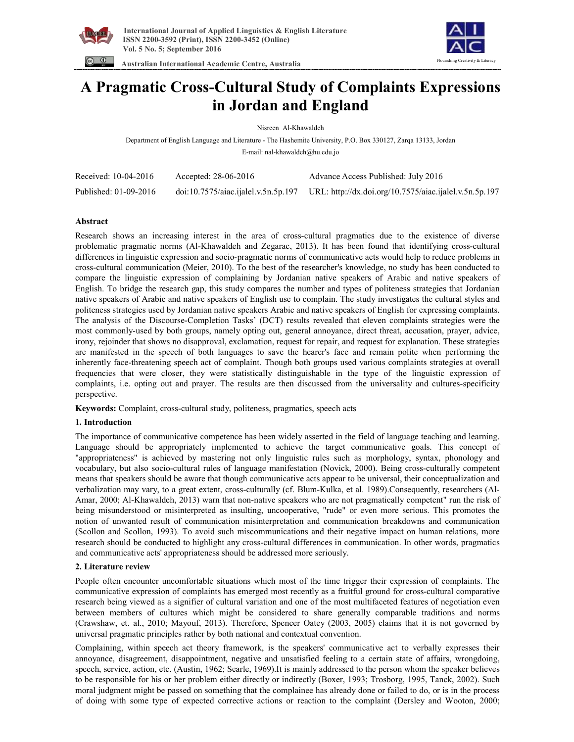





# **A Pragmatic Cross-Cultural Study of Complaints Expressions in Jordan and England**

Nisreen Al-Khawaldeh

Department of English Language and Literature - The Hashemite University, P.O. Box 330127, Zarqa 13133, Jordan E-mail: nal-khawaldeh@hu.edu.jo

| Received: 10-04-2016  | Accepted: $28-06-2016$              | Advance Access Published: July 2016                    |
|-----------------------|-------------------------------------|--------------------------------------------------------|
| Published: 01-09-2016 | doi:10.7575/aiac.ijalel.v.5n.5p.197 | URL: http://dx.doi.org/10.7575/aiac.ijalel.v.5n.5p.197 |

### **Abstract**

Research shows an increasing interest in the area of cross-cultural pragmatics due to the existence of diverse problematic pragmatic norms (Al-Khawaldeh and Zegarac, 2013). It has been found that identifying cross-cultural differences in linguistic expression and socio-pragmatic norms of communicative acts would help to reduce problems in cross-cultural communication (Meier, 2010). To the best of the researcher's knowledge, no study has been conducted to compare the linguistic expression of complaining by Jordanian native speakers of Arabic and native speakers of English. To bridge the research gap, this study compares the number and types of politeness strategies that Jordanian native speakers of Arabic and native speakers of English use to complain. The study investigates the cultural styles and politeness strategies used by Jordanian native speakers Arabic and native speakers of English for expressing complaints. The analysis of the Discourse-Completion Tasks' (DCT) results revealed that eleven complaints strategies were the most commonly-used by both groups, namely opting out, general annoyance, direct threat, accusation, prayer, advice, irony, rejoinder that shows no disapproval, exclamation, request for repair, and request for explanation. These strategies are manifested in the speech of both languages to save the hearer's face and remain polite when performing the inherently face-threatening speech act of complaint. Though both groups used various complaints strategies at overall frequencies that were closer, they were statistically distinguishable in the type of the linguistic expression of complaints, i.e. opting out and prayer. The results are then discussed from the universality and cultures-specificity perspective.

**Keywords:** Complaint, cross-cultural study, politeness, pragmatics, speech acts

### **1. Introduction**

The importance of communicative competence has been widely asserted in the field of language teaching and learning. Language should be appropriately implemented to achieve the target communicative goals. This concept of "appropriateness" is achieved by mastering not only linguistic rules such as morphology, syntax, phonology and vocabulary, but also socio-cultural rules of language manifestation (Novick, 2000). Being cross-culturally competent means that speakers should be aware that though communicative acts appear to be universal, their conceptualization and verbalization may vary, to a great extent, cross-culturally (cf. Blum-Kulka, et al. 1989).Consequently, researchers (Al-Amar, 2000; Al-Khawaldeh, 2013) warn that non-native speakers who are not pragmatically competent" run the risk of being misunderstood or misinterpreted as insulting, uncooperative, "rude" or even more serious. This promotes the notion of unwanted result of communication misinterpretation and communication breakdowns and communication (Scollon and Scollon, 1993). To avoid such miscommunications and their negative impact on human relations, more research should be conducted to highlight any cross-cultural differences in communication. In other words, pragmatics and communicative acts' appropriateness should be addressed more seriously.

### **2. Literature review**

People often encounter uncomfortable situations which most of the time trigger their expression of complaints. The communicative expression of complaints has emerged most recently as a fruitful ground for cross-cultural comparative research being viewed as a signifier of cultural variation and one of the most multifaceted features of negotiation even between members of cultures which might be considered to share generally comparable traditions and norms (Crawshaw, et. al., 2010; Mayouf, 2013). Therefore, Spencer Oatey (2003, 2005) claims that it is not governed by universal pragmatic principles rather by both national and contextual convention.

Complaining, within speech act theory framework, is the speakers' communicative act to verbally expresses their annoyance, disagreement, disappointment, negative and unsatisfied feeling to a certain state of affairs, wrongdoing, speech, service, action, etc. (Austin, 1962; Searle, 1969).It is mainly addressed to the person whom the speaker believes to be responsible for his or her problem either directly or indirectly (Boxer, 1993; Trosborg, 1995, Tanck, 2002). Such moral judgment might be passed on something that the complainee has already done or failed to do, or is in the process of doing with some type of expected corrective actions or reaction to the complaint (Dersley and Wooton, 2000;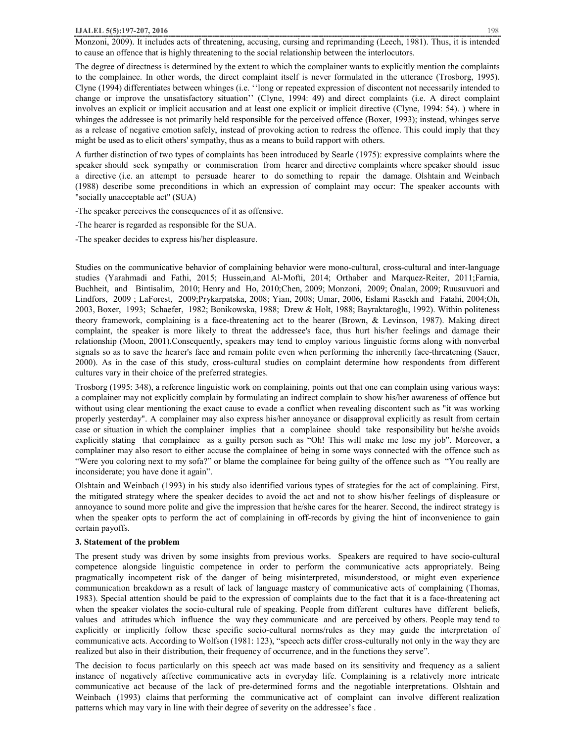Monzoni, 2009). It includes acts of threatening, accusing, cursing and reprimanding (Leech, 1981). Thus, it is intended to cause an offence that is highly threatening to the social relationship between the interlocutors.

The degree of directness is determined by the extent to which the complainer wants to explicitly mention the complaints to the complainee. In other words, the direct complaint itself is never formulated in the utterance (Trosborg, 1995). Clyne (1994) differentiates between whinges (i.e. ''long or repeated expression of discontent not necessarily intended to change or improve the unsatisfactory situation'' (Clyne, 1994: 49) and direct complaints (i.e. A direct complaint involves an explicit or implicit accusation and at least one explicit or implicit directive (Clyne, 1994: 54). ) where in whinges the addressee is not primarily held responsible for the perceived offence (Boxer, 1993); instead, whinges serve as a release of negative emotion safely, instead of provoking action to redress the offence. This could imply that they might be used as to elicit others' sympathy, thus as a means to build rapport with others.

A further distinction of two types of complaints has been introduced by Searle (1975): expressive complaints where the speaker should seek sympathy or commiseration from hearer and directive complaints where speaker should issue a directive (i.e. an attempt to persuade hearer to do something to repair the damage. Olshtain and Weinbach (1988) describe some preconditions in which an expression of complaint may occur: The speaker accounts with "socially unacceptable act" (SUA)

- -The speaker perceives the consequences of it as offensive.
- -The hearer is regarded as responsible for the SUA.
- -The speaker decides to express his/her displeasure.

Studies on the communicative behavior of complaining behavior were mono-cultural, cross-cultural and inter-language studies (Yarahmadi and Fathi, 2015; Hussein,and Al-Mofti, 2014; Orthaber and Marquez-Reiter, 2011;Farnia, Buchheit, and Bintisalim, 2010; Henry and Ho, 2010;Chen, 2009; Monzoni, 2009; Önalan, 2009; Ruusuvuori and Lindfors, 2009 ; LaForest, 2009;Prykarpatska, 2008; Yian, 2008; Umar, 2006, Eslami Rasekh and Fatahi, 2004;Oh, 2003, Boxer, 1993; Schaefer, 1982; Bonikowska, 1988; Drew & Holt, 1988; Bayraktaroğlu, 1992). Within politeness theory framework, complaining is a face-threatening act to the hearer (Brown, & Levinson, 1987). Making direct complaint, the speaker is more likely to threat the addressee's face, thus hurt his/her feelings and damage their relationship (Moon, 2001).Consequently, speakers may tend to employ various linguistic forms along with nonverbal signals so as to save the hearer's face and remain polite even when performing the inherently face-threatening (Sauer, 2000). As in the case of this study, cross-cultural studies on complaint determine how respondents from different cultures vary in their choice of the preferred strategies.

Trosborg (1995: 348), a reference linguistic work on complaining, points out that one can complain using various ways: a complainer may not explicitly complain by formulating an indirect complain to show his/her awareness of offence but without using clear mentioning the exact cause to evade a conflict when revealing discontent such as "it was working properly yesterday". A complainer may also express his/her annoyance or disapproval explicitly as result from certain case or situation in which the complainer implies that a complainee should take responsibility but he/she avoids explicitly stating that complainee as a guilty person such as "Oh! This will make me lose my job". Moreover, a complainer may also resort to either accuse the complainee of being in some ways connected with the offence such as "Were you coloring next to my sofa?" or blame the complainee for being guilty of the offence such as "You really are inconsiderate; you have done it again".

Olshtain and Weinbach (1993) in his study also identified various types of strategies for the act of complaining. First, the mitigated strategy where the speaker decides to avoid the act and not to show his/her feelings of displeasure or annoyance to sound more polite and give the impression that he/she cares for the hearer. Second, the indirect strategy is when the speaker opts to perform the act of complaining in off-records by giving the hint of inconvenience to gain certain payoffs.

### **3. Statement of the problem**

The present study was driven by some insights from previous works. Speakers are required to have socio-cultural competence alongside linguistic competence in order to perform the communicative acts appropriately. Being pragmatically incompetent risk of the danger of being misinterpreted, misunderstood, or might even experience communication breakdown as a result of lack of language mastery of communicative acts of complaining (Thomas, 1983). Special attention should be paid to the expression of complaints due to the fact that it is a face-threatening act when the speaker violates the socio-cultural rule of speaking. People from different cultures have different beliefs, values and attitudes which influence the way they communicate and are perceived by others. People may tend to explicitly or implicitly follow these specific socio-cultural norms/rules as they may guide the interpretation of communicative acts. According to Wolfson (1981: 123), "speech acts differ cross-culturally not only in the way they are realized but also in their distribution, their frequency of occurrence, and in the functions they serve".

The decision to focus particularly on this speech act was made based on its sensitivity and frequency as a salient instance of negatively affective communicative acts in everyday life. Complaining is a relatively more intricate communicative act because of the lack of pre-determined forms and the negotiable interpretations. Olshtain and Weinbach (1993) claims that performing the communicative act of complaint can involve different realization patterns which may vary in line with their degree of severity on the addressee's face .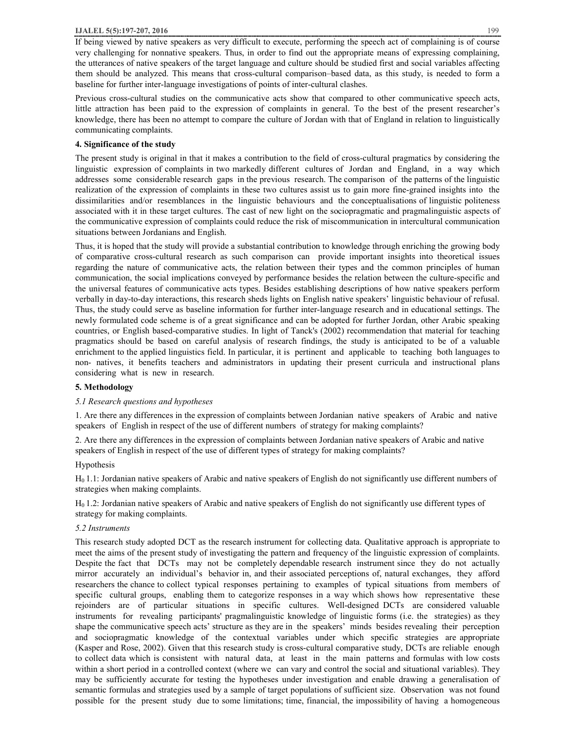If being viewed by native speakers as very difficult to execute, performing the speech act of complaining is of course very challenging for nonnative speakers. Thus, in order to find out the appropriate means of expressing complaining, the utterances of native speakers of the target language and culture should be studied first and social variables affecting them should be analyzed. This means that cross-cultural comparison–based data, as this study, is needed to form a baseline for further inter-language investigations of points of inter-cultural clashes.

Previous cross-cultural studies on the communicative acts show that compared to other communicative speech acts, little attraction has been paid to the expression of complaints in general. To the best of the present researcher's knowledge, there has been no attempt to compare the culture of Jordan with that of England in relation to linguistically communicating complaints.

### **4. Significance of the study**

The present study is original in that it makes a contribution to the field of cross-cultural pragmatics by considering the linguistic expression of complaints in two markedly different cultures of Jordan and England, in a way which addresses some considerable research gaps in the previous research. The comparison of the patterns of the linguistic realization of the expression of complaints in these two cultures assist us to gain more fine-grained insights into the dissimilarities and/or resemblances in the linguistic behaviours and the conceptualisations of linguistic politeness associated with it in these target cultures. The cast of new light on the sociopragmatic and pragmalinguistic aspects of the communicative expression of complaints could reduce the risk of miscommunication in intercultural communication situations between Jordanians and English.

Thus, it is hoped that the study will provide a substantial contribution to knowledge through enriching the growing body of comparative cross-cultural research as such comparison can provide important insights into theoretical issues regarding the nature of communicative acts, the relation between their types and the common principles of human communication, the social implications conveyed by performance besides the relation between the culture-specific and the universal features of communicative acts types. Besides establishing descriptions of how native speakers perform verbally in day-to-day interactions, this research sheds lights on English native speakers' linguistic behaviour of refusal. Thus, the study could serve as baseline information for further inter-language research and in educational settings. The newly formulated code scheme is of a great significance and can be adopted for further Jordan, other Arabic speaking countries, or English based-comparative studies. In light of Tanck's (2002) recommendation that material for teaching pragmatics should be based on careful analysis of research findings, the study is anticipated to be of a valuable enrichment to the applied linguistics field. In particular, it is pertinent and applicable to teaching both languages to non- natives, it benefits teachers and administrators in updating their present curricula and instructional plans considering what is new in research.

# **5. Methodology**

### *5.1 Research questions and hypotheses*

1. Are there any differences in the expression of complaints between Jordanian native speakers of Arabic and native speakers of English in respect of the use of different numbers of strategy for making complaints?

2. Are there any differences in the expression of complaints between Jordanian native speakers of Arabic and native speakers of English in respect of the use of different types of strategy for making complaints?

### Hypothesis

H0 1.1: Jordanian native speakers of Arabic and native speakers of English do not significantly use different numbers of strategies when making complaints.

H0 1.2: Jordanian native speakers of Arabic and native speakers of English do not significantly use different types of strategy for making complaints.

### *5.2 Instruments*

This research study adopted DCT as the research instrument for collecting data. Qualitative approach is appropriate to meet the aims of the present study of investigating the pattern and frequency of the linguistic expression of complaints. Despite the fact that DCTs may not be completely dependable research instrument since they do not actually mirror accurately an individual's behavior in, and their associated perceptions of, natural exchanges, they afford researchers the chance to collect typical responses pertaining to examples of typical situations from members of specific cultural groups, enabling them to categorize responses in a way which shows how representative these rejoinders are of particular situations in specific cultures. Well-designed DCTs are considered valuable instruments for revealing participants' pragmalinguistic knowledge of linguistic forms (i.e. the strategies) as they shape the communicative speech acts' structure as they are in the speakers' minds besides revealing their perception and sociopragmatic knowledge of the contextual variables under which specific strategies are appropriate (Kasper and Rose, 2002). Given that this research study is cross-cultural comparative study, DCTs are reliable enough to collect data which is consistent with natural data, at least in the main patterns and formulas with low costs within a short period in a controlled context (where we can vary and control the social and situational variables). They may be sufficiently accurate for testing the hypotheses under investigation and enable drawing a generalisation of semantic formulas and strategies used by a sample of target populations of sufficient size. Observation was not found possible for the present study due to some limitations; time, financial, the impossibility of having a homogeneous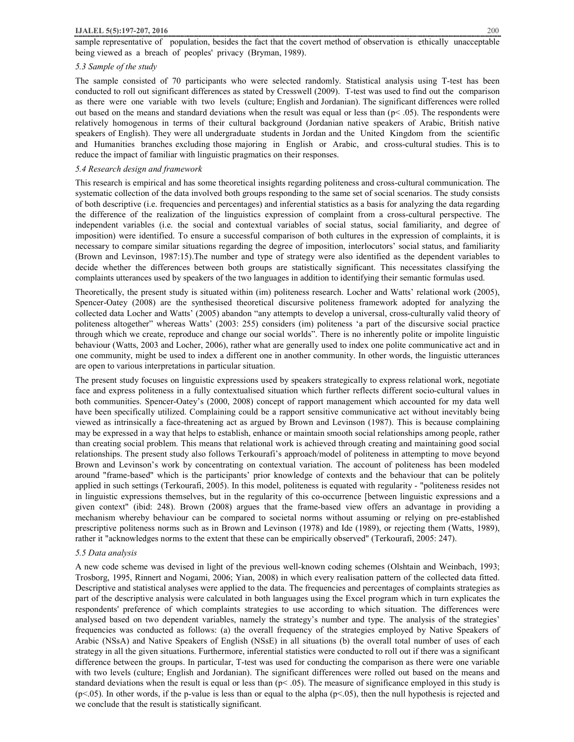### *5.3 Sample of the study*

The sample consisted of 70 participants who were selected randomly. Statistical analysis using T-test has been conducted to roll out significant differences as stated by Cresswell (2009). T-test was used to find out the comparison as there were one variable with two levels (culture; English and Jordanian). The significant differences were rolled out based on the means and standard deviations when the result was equal or less than ( $p< .05$ ). The respondents were relatively homogenous in terms of their cultural background (Jordanian native speakers of Arabic, British native speakers of English). They were all undergraduate students in Jordan and the United Kingdom from the scientific and Humanities branches excluding those majoring in English or Arabic, and cross-cultural studies. This is to reduce the impact of familiar with linguistic pragmatics on their responses.

### *5.4 Research design and framework*

This research is empirical and has some theoretical insights regarding politeness and cross-cultural communication. The systematic collection of the data involved both groups responding to the same set of social scenarios. The study consists of both descriptive (i.e. frequencies and percentages) and inferential statistics as a basis for analyzing the data regarding the difference of the realization of the linguistics expression of complaint from a cross-cultural perspective. The independent variables (i.e. the social and contextual variables of social status, social familiarity, and degree of imposition) were identified. To ensure a successful comparison of both cultures in the expression of complaints, it is necessary to compare similar situations regarding the degree of imposition, interlocutors' social status, and familiarity (Brown and Levinson, 1987:15).The number and type of strategy were also identified as the dependent variables to decide whether the differences between both groups are statistically significant. This necessitates classifying the complaints utterances used by speakers of the two languages in addition to identifying their semantic formulas used.

Theoretically, the present study is situated within (im) politeness research. Locher and Watts' relational work (2005), Spencer-Oatey (2008) are the synthesised theoretical discursive politeness framework adopted for analyzing the collected data Locher and Watts' (2005) abandon "any attempts to develop a universal, cross-culturally valid theory of politeness altogether" whereas Watts' (2003: 255) considers (im) politeness 'a part of the discursive social practice through which we create, reproduce and change our social worlds". There is no inherently polite or impolite linguistic behaviour (Watts, 2003 and Locher, 2006), rather what are generally used to index one polite communicative act and in one community, might be used to index a different one in another community. In other words, the linguistic utterances are open to various interpretations in particular situation.

The present study focuses on linguistic expressions used by speakers strategically to express relational work, negotiate face and express politeness in a fully contextualised situation which further reflects different socio-cultural values in both communities. Spencer-Oatey's (2000, 2008) concept of rapport management which accounted for my data well have been specifically utilized. Complaining could be a rapport sensitive communicative act without inevitably being viewed as intrinsically a face-threatening act as argued by Brown and Levinson (1987). This is because complaining may be expressed in a way that helps to establish, enhance or maintain smooth social relationships among people, rather than creating social problem. This means that relational work is achieved through creating and maintaining good social relationships. The present study also follows Terkourafi's approach/model of politeness in attempting to move beyond Brown and Levinson's work by concentrating on contextual variation. The account of politeness has been modeled around "frame-based" which is the participants' prior knowledge of contexts and the behaviour that can be politely applied in such settings (Terkourafi, 2005). In this model, politeness is equated with regularity - "politeness resides not in linguistic expressions themselves, but in the regularity of this co-occurrence [between linguistic expressions and a given context" (ibid: 248). Brown (2008) argues that the frame-based view offers an advantage in providing a mechanism whereby behaviour can be compared to societal norms without assuming or relying on pre-established prescriptive politeness norms such as in Brown and Levinson (1978) and Ide (1989), or rejecting them (Watts, 1989), rather it "acknowledges norms to the extent that these can be empirically observed" (Terkourafi, 2005: 247).

#### *5.5 Data analysis*

A new code scheme was devised in light of the previous well-known coding schemes (Olshtain and Weinbach, 1993; Trosborg, 1995, Rinnert and Nogami, 2006; Yian, 2008) in which every realisation pattern of the collected data fitted. Descriptive and statistical analyses were applied to the data. The frequencies and percentages of complaints strategies as part of the descriptive analysis were calculated in both languages using the Excel program which in turn explicates the respondents' preference of which complaints strategies to use according to which situation. The differences were analysed based on two dependent variables, namely the strategy's number and type. The analysis of the strategies' frequencies was conducted as follows: (a) the overall frequency of the strategies employed by Native Speakers of Arabic (NSsA) and Native Speakers of English (NSsE) in all situations (b) the overall total number of uses of each strategy in all the given situations. Furthermore, inferential statistics were conducted to roll out if there was a significant difference between the groups. In particular, T-test was used for conducting the comparison as there were one variable with two levels (culture; English and Jordanian). The significant differences were rolled out based on the means and standard deviations when the result is equal or less than  $(p< 0.05)$ . The measure of significance employed in this study is  $(p<.05)$ . In other words, if the p-value is less than or equal to the alpha  $(p<.05)$ , then the null hypothesis is rejected and we conclude that the result is statistically significant.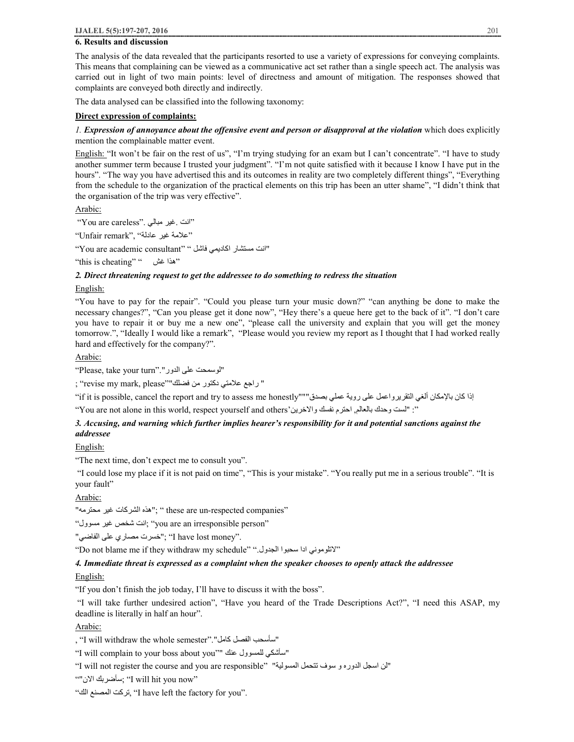# **6. Results and discussion**

The analysis of the data revealed that the participants resorted to use a variety of expressions for conveying complaints. This means that complaining can be viewed as a communicative act set rather than a single speech act. The analysis was carried out in light of two main points: level of directness and amount of mitigation. The responses showed that complaints are conveyed both directly and indirectly.

The data analysed can be classified into the following taxonomy:

### **Direct expression of complaints:**

*1. Expression of annoyance about the offensive event and person or disapproval at the violation* which does explicitly mention the complainable matter event.

English: "It won't be fair on the rest of us", "I'm trying studying for an exam but I can't concentrate". "I have to study another summer term because I trusted your judgment". "I'm not quite satisfied with it because I know I have put in the hours". "The way you have advertised this and its outcomes in reality are two completely different things", "Everything from the schedule to the organization of the practical elements on this trip has been an utter shame", "I didn't think that the organisation of the trip was very effective".

Arabic:

"انت .غیر مبالي ."careless are You"

"علامة غیر عادلة" ,"remark Unfair"

"انت مستشار اكادیمي فاشل " "consultant academic are You"

"this is cheating" " غش ھذا"

### *2. Direct threatening request to get the addressee to do something to redress the situation*

### English:

"You have to pay for the repair". "Could you please turn your music down?" "can anything be done to make the necessary changes?", "Can you please get it done now", "Hey there's a queue here get to the back of it". "I don't care you have to repair it or buy me a new one", "please call the university and explain that you will get the money tomorrow.", "Ideally I would like a remark", "Please would you review my report as I thought that I had worked really hard and effectively for the company?".

Arabic:

"Please, take your turn"."الدور على لوسمحت"

" راجع علامتي دكتور من فضلك""please ,mark my revise; "

اذا كان بالإمكان ألغي التقريرواعمل على روية عملي بصدق"""(f it is possible, cancel the report and try to assess me honestly"

": "لست وحدك بالعالم, احترم نفسك والاخرين 'You are not alone in this world, respect yourself and others' "

# *3. Accusing, and warning which further implies hearer's responsibility for it and potential sanctions against the addressee*

English:

"The next time, don't expect me to consult you".

"I could lose my place if it is not paid on time", "This is your mistake". "You really put me in a serious trouble". "It is your fault"

Arabic:

"هذه الشركات غير محترمه"; " these are un-respected companies"

"مسوول غیر شخص انت" ;you are an irresponsible person"

."I have lost money"; "خسرت مصاري على الفاضي"

"Do not blame me if they withdraw my schedule" ".الجدول سحبوا ادا لاتلوموني "

### *4. Immediate threat is expressed as a complaint when the speaker chooses to openly attack the addressee*

### English:

"If you don't finish the job today, I'll have to discuss it with the boss".

"I will take further undesired action", "Have you heard of the Trade Descriptions Act?", "I need this ASAP, my deadline is literally in half an hour".

Arabic:

, "I will withdraw the whole semester"."كامل الفصل سأسحب"

"I will complain to your boss about you"" عنك للمسوول سأشكي"

"ان اسجل الدوره و سوف تتحمل المسولية" "Will not register the course and you are responsible"

""الان سأضربك" ;I will hit you now"

"الك المصنع تركت," I have left the factory for you".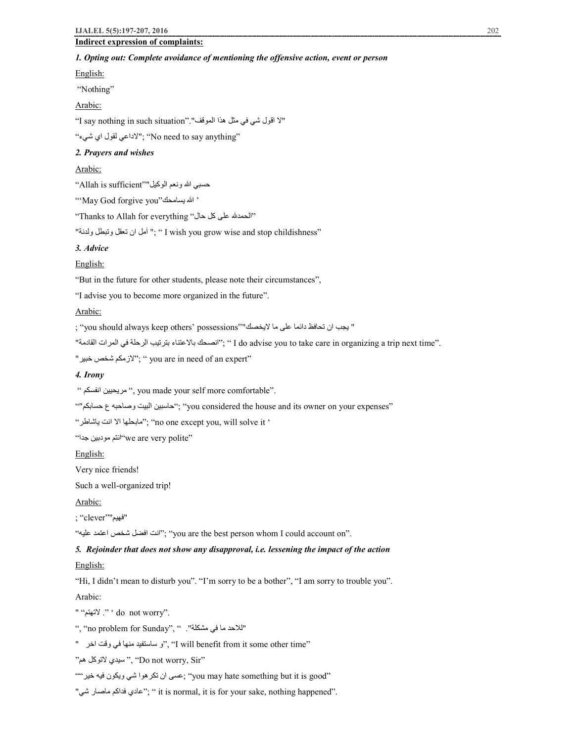# **Indirect expression of complaints:**

# *1. Opting out: Complete avoidance of mentioning the offensive action, event or person*

English:

"Nothing"

Arabic:

"لا اقول شي في مثل ھذا الموقف"."situation such in nothing say I"

"شيء اي لقول لاداعي" ;"No need to say anything"

# *2. Prayers and wishes*

Arabic:

حسبي الله ونعم الوكیل""sufficient is Allah"

"'May God forgive you"یسامحك الله '

"Thanks to Allah for everything "حال كل على الحمد "

تب آمل ان تعقل وتبطل ولدنة" ; " I wish you grow wise and stop childishness"

# *3. Advice*

### English:

"But in the future for other students, please note their circumstances",

"I advise you to become more organized in the future".

### Arabic:

" یجب ان تحافظ دائما على ما لایخصك""possessions' others keep always should you; "

"الصحك بالاعتناء بترتيب الرحلة في المرات القادمة" ; " I do advise you to take care in organizing a trip next time".

"'لازمكم شخص خبير"; "You are in need of an expert"

# *4. Irony*

" انفسكم مریحیین" , you made your self more comfortable".

"حاسبین البیت وصاحبه ع حسابكم"؛ "you considered the house and its owner on your expenses"

"یاشاطر انت الا مابحلھا" ;"no one except you, will solve it '

"we are very polite" انتم مودبین جدا"

# English:

Very nice friends!

Such a well-organized trip!

# Arabic:

"فھیم""clever; "

"علیھ اعتمد شخص افضل انت" ;"you are the best person whom I could account on".

# *5. Rejoinder that does not show any disapproval, i.e. lessening the impact of the action*

### English:

"Hi, I didn't mean to disturb you". "I'm sorry to be a bother", "I am sorry to trouble you".

### Arabic:

" "لاتھتم . ' "do not worry".

"للاحد ما في مشكلة". ", "no problem for Sunday",

" اخر وقت في منھا ساستفید و"," I will benefit from it some other time"

"ھم لاتوكل سیدي" ," Do not worry, Sir"

"you may hate something but it is good" ;عسى ان تكرهوا شي ويكون فيه خير ""

"شي ماصار فداكم عادي " ;"it is normal, it is for your sake, nothing happened".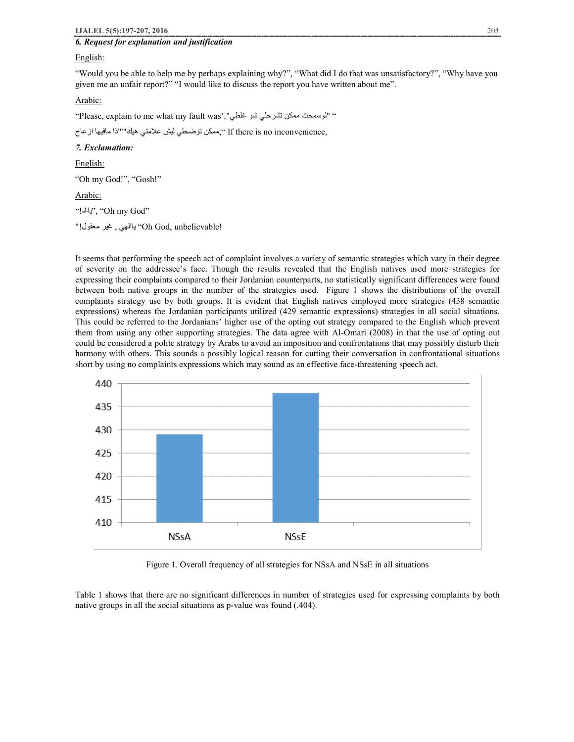# *6. Request for explanation and justification*

### English:

"Would you be able to help me by perhaps explaining why?", "What did I do that was unsatisfactory?", "Why have you given me an unfair report?" "I would like to discuss the report you have written about me".

### Arabic:

"Please, explain to me what my fault was'."غلطي شو تشرحلي ممكن لوسمحت " "

,f there is no inconvenience ";ممكن توضحلي لیش علامتي هیك""اذا مافیها از عاج

### *7. Exclamation:*

English:

"Oh my God!", "Gosh!"

Arabic:

": يالله!" Oh my God"

!'Uh God, unbelievable' ياالهي , غير معقول''

It seems that performing the speech act of complaint involves a variety of semantic strategies which vary in their degree of severity on the addressee's face. Though the results revealed that the English natives used more strategies for expressing their complaints compared to their Jordanian counterparts, no statistically significant differences were found between both native groups in the number of the strategies used. Figure 1 shows the distributions of the overall complaints strategy use by both groups. It is evident that English natives employed more strategies (438 semantic expressions) whereas the Jordanian participants utilized (429 semantic expressions) strategies in all social situations. This could be referred to the Jordanians' higher use of the opting out strategy compared to the English which prevent them from using any other supporting strategies. The data agree with Al-Omari (2008) in that the use of opting out could be considered a polite strategy by Arabs to avoid an imposition and confrontations that may possibly disturb their harmony with others. This sounds a possibly logical reason for cutting their conversation in confrontational situations short by using no complaints expressions which may sound as an effective face-threatening speech act.



Figure 1. Overall frequency of all strategies for NSsA and NSsE in all situations

Table 1 shows that there are no significant differences in number of strategies used for expressing complaints by both native groups in all the social situations as p-value was found (.404).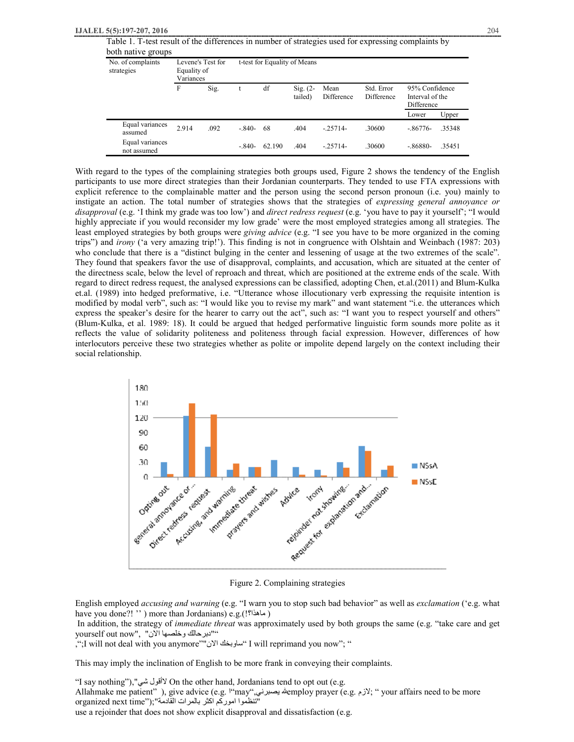| Table 1. T-test result of the differences in number of strategies used for expressing complaints by |
|-----------------------------------------------------------------------------------------------------|
| both native groups                                                                                  |

| No. of complaints<br>strategies | Equality of<br>Variances | Levene's Test for | t-test for Equality of Means |        |                       |                    |                          |                                                 |        |
|---------------------------------|--------------------------|-------------------|------------------------------|--------|-----------------------|--------------------|--------------------------|-------------------------------------------------|--------|
|                                 | F                        | Sig.              |                              | df     | $Sig. (2-$<br>tailed) | Mean<br>Difference | Std. Error<br>Difference | 95% Confidence<br>Interval of the<br>Difference |        |
|                                 |                          |                   |                              |        |                       |                    |                          | Lower                                           | Upper  |
| Equal variances<br>assumed      | 2.914                    | .092              | $-.840-$                     | 68     | .404                  | $-25714-$          | .30600                   | $-.86776-$                                      | .35348 |
| Equal variances<br>not assumed  |                          |                   | $-.840-$                     | 62.190 | .404                  | $-25714-$          | .30600                   | $-.86880-$                                      | .35451 |

With regard to the types of the complaining strategies both groups used, Figure 2 shows the tendency of the English participants to use more direct strategies than their Jordanian counterparts. They tended to use FTA expressions with explicit reference to the complainable matter and the person using the second person pronoun (i.e. you) mainly to instigate an action. The total number of strategies shows that the strategies of *expressing general annoyance or disapproval* (e.g. 'I think my grade was too low') and *direct redress request* (e.g. 'you have to pay it yourself'; "I would highly appreciate if you would reconsider my low grade' were the most employed strategies among all strategies. The least employed strategies by both groups were *giving advice* (e.g. "I see you have to be more organized in the coming trips") and *irony* ('a very amazing trip!'). This finding is not in congruence with Olshtain and Weinbach (1987: 203) who conclude that there is a "distinct bulging in the center and lessening of usage at the two extremes of the scale". They found that speakers favor the use of disapproval, complaints, and accusation, which are situated at the center of the directness scale, below the level of reproach and threat, which are positioned at the extreme ends of the scale. With regard to direct redress request, the analysed expressions can be classified, adopting Chen, et.al.(2011) and Blum-Kulka et.al. (1989) into hedged preformative, i.e. "Utterance whose illocutionary verb expressing the requisite intention is modified by modal verb", such as: "I would like you to revise my mark" and want statement "i.e. the utterances which express the speaker's desire for the hearer to carry out the act", such as: "I want you to respect yourself and others" (Blum-Kulka, et al. 1989: 18). It could be argued that hedged performative linguistic form sounds more polite as it reflects the value of solidarity politeness and politeness through facial expression. However, differences of how interlocutors perceive these two strategies whether as polite or impolite depend largely on the context including their social relationship.



Figure 2. Complaining strategies

English employed *accusing and warning* (e.g. "I warn you to stop such bad behavior" as well as *exclamation* ('e.g. what have you done?! '' ) more than Jordanians) e.g.(!ماھذا؟ (

In addition, the strategy of *immediate threat* was approximately used by both groups the same (e.g. "take care and get ""دبرحالك وخلصھا الان" ,"now out yourself

,";I will not deal with you anymore""الان ساوبخك "I will reprimand you now"; "

This may imply the inclination of English to be more frank in conveying their complaints.

"I say nothing"),"شي لاأقول On the other hand, Jordanians tend to opt out (e.g.

Allahmake me patient" ), give advice (e.g. ا"may",یصبرني employ prayer (e.g. لازم " ;your affairs need to be more organized next time");"اتنظموا اموركم اكثر بالمرات القادمة

use a rejoinder that does not show explicit disapproval and dissatisfaction (e.g.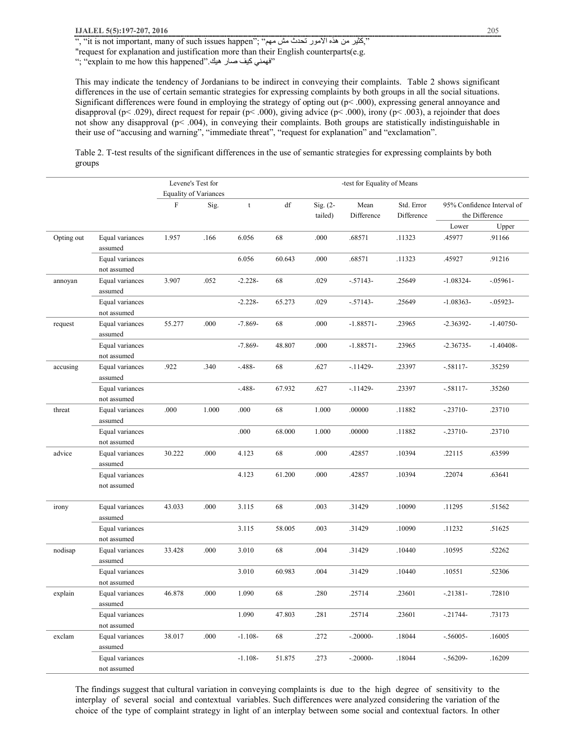", "it is not important, many of such issues happen"; "مُثیر من هذه الامور تحدث مش مهم", "it is not important, many of such issues happen",

"request for explanation and justification more than their English counterparts(e.g.

"; "explain to me how this happened".ھیك صار كیف فھمني "

This may indicate the tendency of Jordanians to be indirect in conveying their complaints. Table 2 shows significant differences in the use of certain semantic strategies for expressing complaints by both groups in all the social situations. Significant differences were found in employing the strategy of opting out (p< .000), expressing general annoyance and disapproval (p< .029), direct request for repair (p< .000), giving advice (p< .000), irony (p< .003), a rejoinder that does not show any disapproval (p< .004), in conveying their complaints. Both groups are statistically indistinguishable in their use of "accusing and warning", "immediate threat", "request for explanation" and "exclamation".

Table 2. T-test results of the significant differences in the use of semantic strategies for expressing complaints by both groups

|            |                                |        | Levene's Test for            | -test for Equality of Means |                        |                       |                    |                          |                                              |             |
|------------|--------------------------------|--------|------------------------------|-----------------------------|------------------------|-----------------------|--------------------|--------------------------|----------------------------------------------|-------------|
|            |                                |        | <b>Equality of Variances</b> |                             |                        |                       |                    |                          |                                              |             |
|            |                                | F      | Sig.                         | t                           | $\mathrm{d}\mathbf{f}$ | Sig. $(2-$<br>tailed) | Mean<br>Difference | Std. Error<br>Difference | 95% Confidence Interval of<br>the Difference |             |
|            |                                |        |                              |                             |                        |                       |                    |                          | Lower                                        | Upper       |
| Opting out | Equal variances<br>assumed     | 1.957  | .166                         | 6.056                       | 68                     | .000                  | .68571             | .11323                   | .45977                                       | .91166      |
|            | Equal variances<br>not assumed |        |                              | 6.056                       | 60.643                 | .000                  | .68571             | .11323                   | .45927                                       | .91216      |
| annoyan    | Equal variances<br>assumed     | 3.907  | .052                         | $-2.228-$                   | 68                     | .029                  | $-.57143-$         | .25649                   | $-1.08324-$                                  | $-.05961-$  |
|            | Equal variances<br>not assumed |        |                              | $-2.228-$                   | 65.273                 | .029                  | $-.57143-$         | .25649                   | $-1.08363-$                                  | $-.05923-$  |
| request    | Equal variances<br>assumed     | 55.277 | .000                         | $-7.869-$                   | 68                     | .000                  | $-1.88571-$        | .23965                   | $-2.36392-$                                  | $-1.40750-$ |
|            | Equal variances<br>not assumed |        |                              | $-7.869-$                   | 48.807                 | .000                  | $-1.88571-$        | .23965                   | $-2.36735-$                                  | $-1.40408-$ |
| accusing   | Equal variances<br>assumed     | .922   | .340                         | $-488-$                     | 68                     | .627                  | $-11429-$          | .23397                   | $-58117-$                                    | .35259      |
|            | Equal variances<br>not assumed |        |                              | $-488-$                     | 67.932                 | .627                  | $-11429-$          | .23397                   | $-58117-$                                    | .35260      |
| threat     | Equal variances<br>assumed     | .000   | 1.000                        | .000                        | 68                     | 1.000                 | .00000             | .11882                   | $-23710-$                                    | .23710      |
|            | Equal variances<br>not assumed |        |                              | .000                        | 68.000                 | 1.000                 | .00000             | .11882                   | $-23710-$                                    | .23710      |
| advice     | Equal variances<br>assumed     | 30.222 | .000                         | 4.123                       | 68                     | .000                  | .42857             | .10394                   | .22115                                       | .63599      |
|            | Equal variances<br>not assumed |        |                              | 4.123                       | 61.200                 | .000                  | .42857             | .10394                   | .22074                                       | .63641      |
| irony      | Equal variances<br>assumed     | 43.033 | .000                         | 3.115                       | 68                     | .003                  | .31429             | .10090                   | .11295                                       | .51562      |
|            | Equal variances<br>not assumed |        |                              | 3.115                       | 58.005                 | .003                  | .31429             | .10090                   | .11232                                       | .51625      |
| nodisap    | Equal variances<br>assumed     | 33.428 | .000                         | 3.010                       | 68                     | .004                  | .31429             | .10440                   | .10595                                       | .52262      |
|            | Equal variances<br>not assumed |        |                              | 3.010                       | 60.983                 | .004                  | .31429             | .10440                   | .10551                                       | .52306      |
| explain    | Equal variances<br>assumed     | 46.878 | .000                         | 1.090                       | 68                     | .280                  | .25714             | .23601                   | $-.21381-$                                   | .72810      |
|            | Equal variances<br>not assumed |        |                              | 1.090                       | 47.803                 | .281                  | .25714             | .23601                   | $-21744-$                                    | .73173      |
| exclam     | Equal variances<br>assumed     | 38.017 | .000                         | $-1.108-$                   | 68                     | .272                  | $-.20000-$         | .18044                   | $-.56005-$                                   | .16005      |
|            | Equal variances<br>not assumed |        |                              | $-1.108-$                   | 51.875                 | .273                  | $-.20000-$         | .18044                   | $-.56209-$                                   | .16209      |

The findings suggest that cultural variation in conveying complaints is due to the high degree of sensitivity to the interplay of several social and contextual variables. Such differences were analyzed considering the variation of the choice of the type of complaint strategy in light of an interplay between some social and contextual factors. In other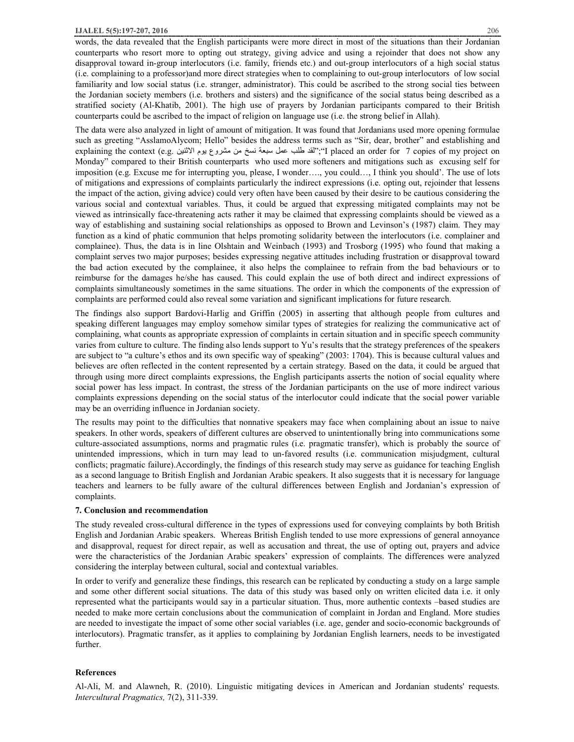words, the data revealed that the English participants were more direct in most of the situations than their Jordanian counterparts who resort more to opting out strategy, giving advice and using a rejoinder that does not show any disapproval toward in-group interlocutors (i.e. family, friends etc.) and out-group interlocutors of a high social status (i.e. complaining to a professor)and more direct strategies when to complaining to out-group interlocutors of low social familiarity and low social status (i.e. stranger, administrator). This could be ascribed to the strong social ties between the Jordanian society members (i.e. brothers and sisters) and the significance of the social status being described as a stratified society (Al-Khatib, 2001). The high use of prayers by Jordanian participants compared to their British counterparts could be ascribed to the impact of religion on language use (i.e. the strong belief in Allah).

The data were also analyzed in light of amount of mitigation. It was found that Jordanians used more opening formulae such as greeting "AsslamoAlycom; Hello" besides the address terms such as "Sir, dear, brother" and establishing and explaining the context (e.g. الاثنین یوم مشروع من نسخ سبعة عمل طلب لقد";"I placed an order for 7 copies of my project on Monday" compared to their British counterparts who used more softeners and mitigations such as excusing self for imposition (e.g. Excuse me for interrupting you, please, I wonder…., you could…, I think you should'. The use of lots of mitigations and expressions of complaints particularly the indirect expressions (i.e. opting out, rejoinder that lessens the impact of the action, giving advice) could very often have been caused by their desire to be cautious considering the various social and contextual variables. Thus, it could be argued that expressing mitigated complaints may not be viewed as intrinsically face-threatening acts rather it may be claimed that expressing complaints should be viewed as a way of establishing and sustaining social relationships as opposed to Brown and Levinson's (1987) claim. They may function as a kind of phatic communion that helps promoting solidarity between the interlocutors (i.e. complainer and complainee). Thus, the data is in line Olshtain and Weinbach (1993) and Trosborg (1995) who found that making a complaint serves two major purposes; besides expressing negative attitudes including frustration or disapproval toward the bad action executed by the complainee, it also helps the complainee to refrain from the bad behaviours or to reimburse for the damages he/she has caused. This could explain the use of both direct and indirect expressions of complaints simultaneously sometimes in the same situations. The order in which the components of the expression of complaints are performed could also reveal some variation and significant implications for future research.

The findings also support Bardovi-Harlig and Griffin (2005) in asserting that although people from cultures and speaking different languages may employ somehow similar types of strategies for realizing the communicative act of complaining, what counts as appropriate expression of complaints in certain situation and in specific speech community varies from culture to culture. The finding also lends support to Yu's results that the strategy preferences of the speakers are subject to "a culture's ethos and its own specific way of speaking" (2003: 1704). This is because cultural values and believes are often reflected in the content represented by a certain strategy. Based on the data, it could be argued that through using more direct complaints expressions, the English participants asserts the notion of social equality where social power has less impact. In contrast, the stress of the Jordanian participants on the use of more indirect various complaints expressions depending on the social status of the interlocutor could indicate that the social power variable may be an overriding influence in Jordanian society.

The results may point to the difficulties that nonnative speakers may face when complaining about an issue to naive speakers. In other words, speakers of different cultures are observed to unintentionally bring into communications some culture-associated assumptions, norms and pragmatic rules (i.e. pragmatic transfer), which is probably the source of unintended impressions, which in turn may lead to un-favored results (i.e. communication misjudgment, cultural conflicts; pragmatic failure).Accordingly, the findings of this research study may serve as guidance for teaching English as a second language to British English and Jordanian Arabic speakers. It also suggests that it is necessary for language teachers and learners to be fully aware of the cultural differences between English and Jordanian's expression of complaints.

### **7. Conclusion and recommendation**

The study revealed cross-cultural difference in the types of expressions used for conveying complaints by both British English and Jordanian Arabic speakers. Whereas British English tended to use more expressions of general annoyance and disapproval, request for direct repair, as well as accusation and threat, the use of opting out, prayers and advice were the characteristics of the Jordanian Arabic speakers' expression of complaints. The differences were analyzed considering the interplay between cultural, social and contextual variables.

In order to verify and generalize these findings, this research can be replicated by conducting a study on a large sample and some other different social situations. The data of this study was based only on written elicited data i.e. it only represented what the participants would say in a particular situation. Thus, more authentic contexts –based studies are needed to make more certain conclusions about the communication of complaint in Jordan and England. More studies are needed to investigate the impact of some other social variables (i.e. age, gender and socio-economic backgrounds of interlocutors). Pragmatic transfer, as it applies to complaining by Jordanian English learners, needs to be investigated further.

### **References**

Al-Ali, M. and Alawneh, R. (2010). Linguistic mitigating devices in American and Jordanian students' requests. *Intercultural Pragmatics,* 7(2), 311-339.